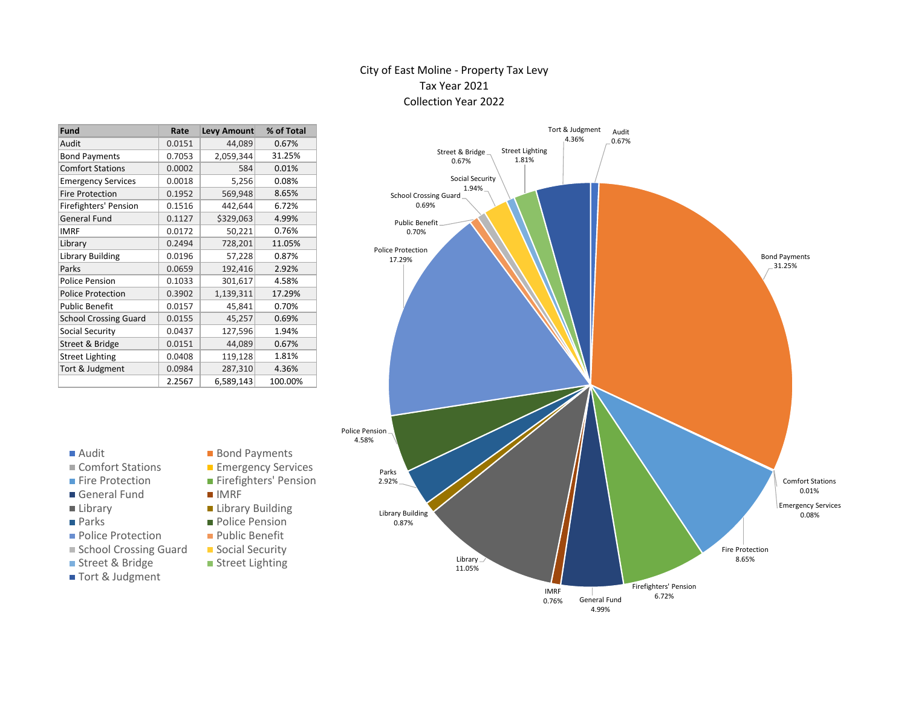#### City of East Moline - Property Tax Levy Tax Year 2021 Collection Year 2022

| Fund                         | Rate   | <b>Levy Amount</b> | % of Total |
|------------------------------|--------|--------------------|------------|
| Audit                        | 0.0151 | 44,089             | 0.67%      |
| <b>Bond Payments</b>         | 0.7053 | 2,059,344          | 31.25%     |
| <b>Comfort Stations</b>      | 0.0002 | 584                | 0.01%      |
| <b>Emergency Services</b>    | 0.0018 | 5,256              | 0.08%      |
| <b>Fire Protection</b>       | 0.1952 | 569,948            | 8.65%      |
| Firefighters' Pension        | 0.1516 | 442,644            | 6.72%      |
| <b>General Fund</b>          | 0.1127 | \$329,063          | 4.99%      |
| <b>IMRF</b>                  | 0.0172 | 50,221             | 0.76%      |
| Library                      | 0.2494 | 728,201            | 11.05%     |
| <b>Library Building</b>      | 0.0196 | 57,228             | 0.87%      |
| Parks                        | 0.0659 | 192,416            | 2.92%      |
| <b>Police Pension</b>        | 0.1033 | 301,617            | 4.58%      |
| <b>Police Protection</b>     | 0.3902 | 1,139,311          | 17.29%     |
| <b>Public Benefit</b>        | 0.0157 | 45,841             | 0.70%      |
| <b>School Crossing Guard</b> | 0.0155 | 45,257             | 0.69%      |
| Social Security              | 0.0437 | 127,596            | 1.94%      |
| Street & Bridge              | 0.0151 | 44,089             | 0.67%      |
| <b>Street Lighting</b>       | 0.0408 | 119,128            | 1.81%      |
| Tort & Judgment              | 0.0984 | 287,310            | 4.36%      |
|                              | 2.2567 | 6,589,143          | 100.00%    |

| . . | O |  |
|-----|---|--|
|     |   |  |

- Comfort Stations Emergency Services
- 
- General Fund
- 
- 
- **Police Protection** Public Benefit
- School Crossing Guard Social Security
- Street & Bridge Street Lighting
- Tort & Judgment
- Bond Payments
- 
- 
- 
- **Library Library Building**
- **Parks** Police Pension
	-
	-
	-
- Fire Protection Firefighters' Pension<br>■ General Fund IMRF
	-
	-
	-
	-
	-



4.99%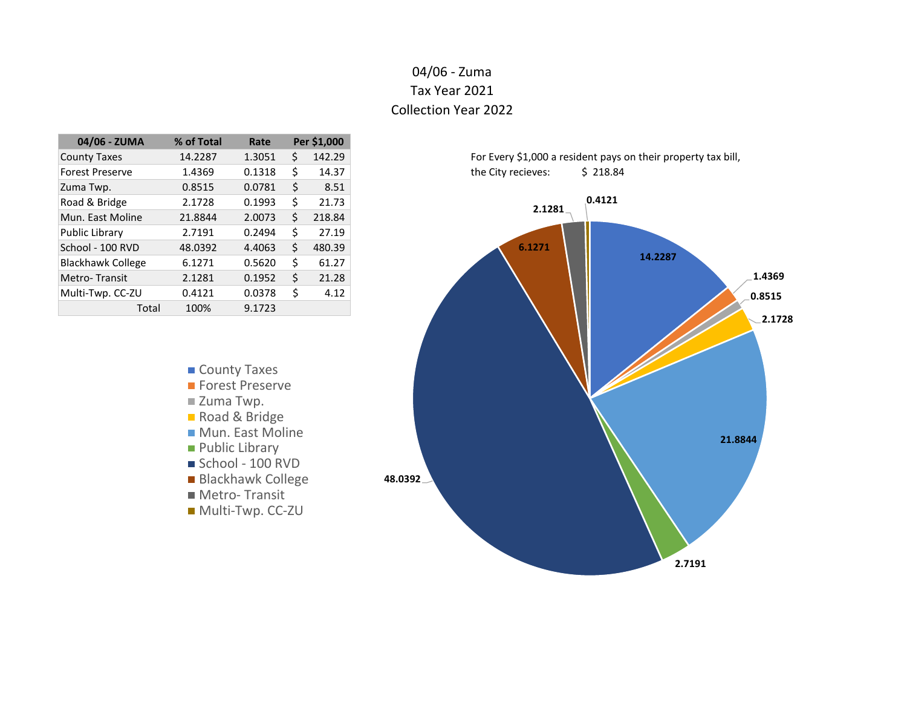# 04/06 - Zuma Tax Year 2021 Collection Year 2022

| 04/06 - ZUMA             | % of Total | Rate   |    | Per \$1,000 |
|--------------------------|------------|--------|----|-------------|
| <b>County Taxes</b>      | 14.2287    | 1.3051 | Ś  | 142.29      |
| <b>Forest Preserve</b>   | 1.4369     | 0.1318 | Ś  | 14.37       |
| Zuma Twp.                | 0.8515     | 0.0781 | Ś  | 8.51        |
| Road & Bridge            | 2.1728     | 0.1993 | Ś  | 21.73       |
| Mun. East Moline         | 21.8844    | 2.0073 | \$ | 218.84      |
| <b>Public Library</b>    | 2.7191     | 0.2494 | Ś  | 27.19       |
| School - 100 RVD         | 48.0392    | 4.4063 | \$ | 480.39      |
| <b>Blackhawk College</b> | 6.1271     | 0.5620 | Ś  | 61.27       |
| Metro-Transit            | 2.1281     | 0.1952 | Ś  | 21.28       |
| Multi-Twp. CC-ZU         | 0.4121     | 0.0378 | Ś  | 4.12        |
| Total                    | 100%       | 9.1723 |    |             |



For Every \$1,000 a resident pays on their property tax bill, the City recieves:  $\frac{1}{2}$  218.84

- County Taxes **Forest Preserve** ■ Zuma Twp. Road & Bridge **Mun. East Moline Public Library** School - 100 RVD
- Blackhawk College
- Metro- Transit
- 
- Multi-Twp. CC-ZU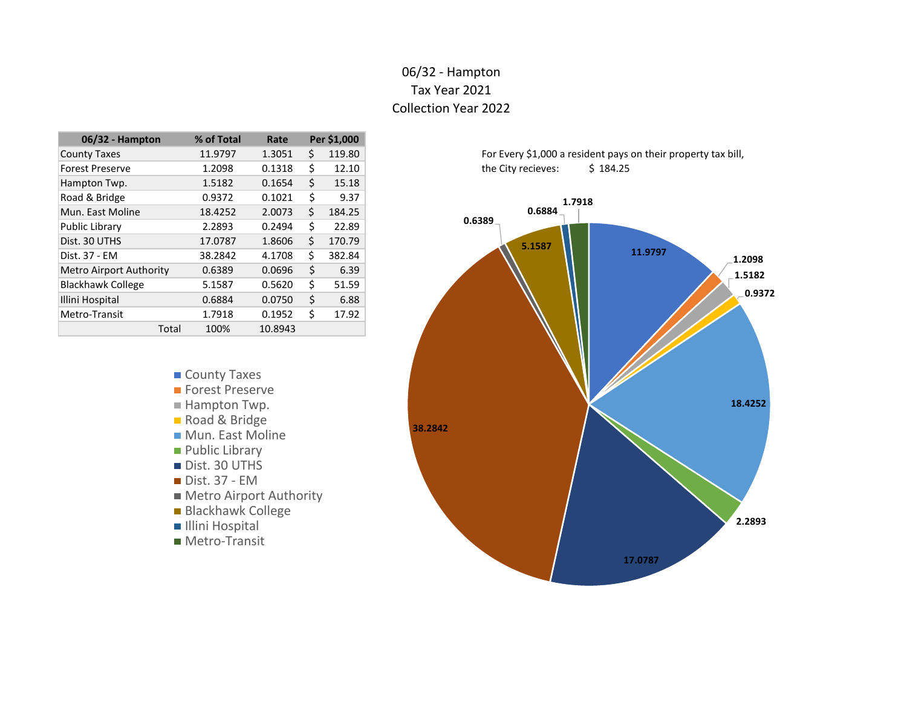# 06/32 - Hampton Tax Year 2021 Collection Year 2022

| 06/32 - Hampton                | % of Total | Rate    |    | Per \$1,000 |
|--------------------------------|------------|---------|----|-------------|
| <b>County Taxes</b>            | 11.9797    | 1.3051  | \$ | 119.80      |
| <b>Forest Preserve</b>         | 1.2098     | 0.1318  | Ś  | 12.10       |
| Hampton Twp.                   | 1.5182     | 0.1654  | Ś  | 15.18       |
| Road & Bridge                  | 0.9372     | 0.1021  | \$ | 9.37        |
| Mun. East Moline               | 18.4252    | 2.0073  | \$ | 184.25      |
| Public Library                 | 2.2893     | 0.2494  | Ś  | 22.89       |
| Dist. 30 UTHS                  | 17.0787    | 1.8606  | \$ | 170.79      |
| Dist. 37 - EM                  | 38.2842    | 4.1708  | Ś  | 382.84      |
| <b>Metro Airport Authority</b> | 0.6389     | 0.0696  | Ś  | 6.39        |
| <b>Blackhawk College</b>       | 5.1587     | 0.5620  | Ś  | 51.59       |
| Illini Hospital                | 0.6884     | 0.0750  | \$ | 6.88        |
| Metro-Transit                  | 1.7918     | 0.1952  | Ś  | 17.92       |
| Total                          | 100%       | 10.8943 |    |             |

- County Taxes
- **Forest Preserve**
- Hampton Twp.
- Road & Bridge
- **Mun. East Moline**
- **Public Library**
- Dist. 30 UTHS
- Dist. 37 EM
- Metro Airport Authority
- Blackhawk College
- Illini Hospital
- Metro-Transit



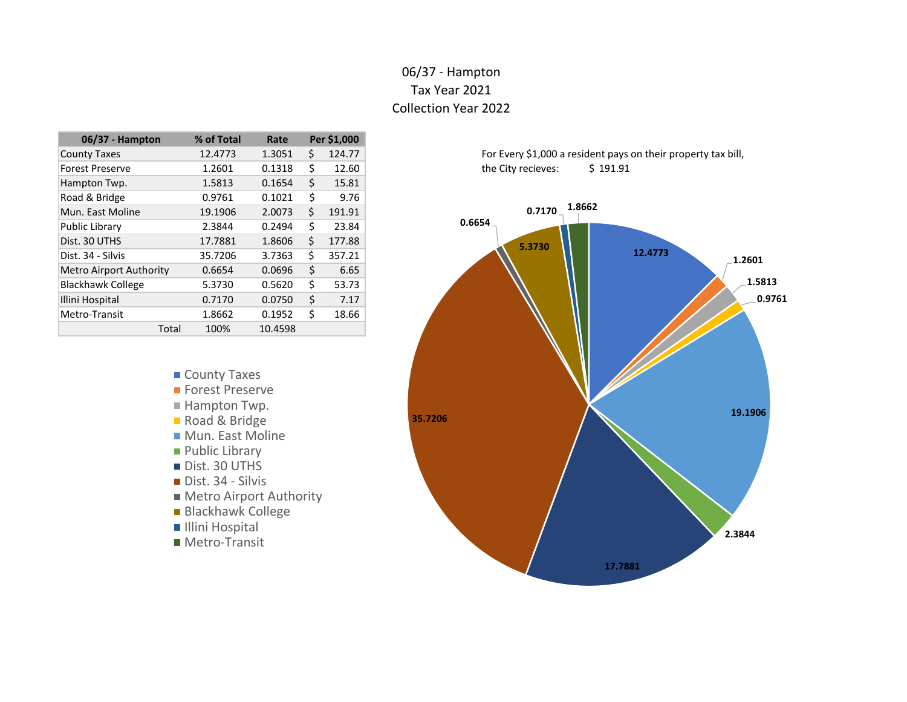# 06/37 - Hampton Tax Year 2021 Collection Year 2022

| 06/37 - Hampton                | % of Total | Rate    |    | Per \$1,000 |
|--------------------------------|------------|---------|----|-------------|
| <b>County Taxes</b>            | 12.4773    | 1.3051  | \$ | 124.77      |
| <b>Forest Preserve</b>         | 1.2601     | 0.1318  | \$ | 12.60       |
| Hampton Twp.                   | 1.5813     | 0.1654  | Ś  | 15.81       |
| Road & Bridge                  | 0.9761     | 0.1021  | \$ | 9.76        |
| Mun. East Moline               | 19.1906    | 2.0073  | \$ | 191.91      |
| Public Library                 | 2.3844     | 0.2494  | \$ | 23.84       |
| Dist. 30 UTHS                  | 17.7881    | 1.8606  | \$ | 177.88      |
| Dist. 34 - Silvis              | 35.7206    | 3.7363  | Ś  | 357.21      |
| <b>Metro Airport Authority</b> | 0.6654     | 0.0696  | \$ | 6.65        |
| <b>Blackhawk College</b>       | 5.3730     | 0.5620  | \$ | 53.73       |
| Illini Hospital                | 0.7170     | 0.0750  | \$ | 7.17        |
| Metro-Transit                  | 1.8662     | 0.1952  | \$ | 18.66       |
| Total                          | 100%       | 10.4598 |    |             |

- County Taxes
- **Forest Preserve**
- Hampton Twp.
- Road & Bridge
- **Mun. East Moline**
- **Public Library**
- Dist. 30 UTHS
- Dist. 34 Silvis
- **Metro Airport Authority**
- **Blackhawk College**
- Illini Hospital
- Metro-Transit

For Every \$1,000 a resident pays on their property tax bill, the City recieves: \$ 191.91

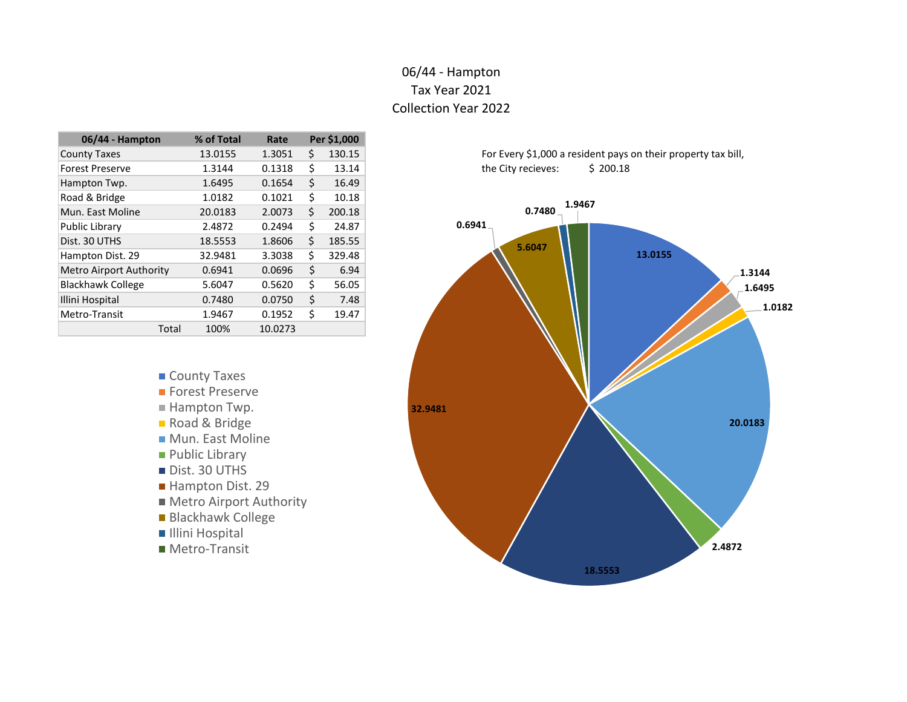# 06/44 - Hampton Tax Year 2021 Collection Year 2022

| 06/44 - Hampton                | % of Total | Rate    |    | Per \$1,000 |
|--------------------------------|------------|---------|----|-------------|
| <b>County Taxes</b>            | 13.0155    | 1.3051  | Ś  | 130.15      |
| <b>Forest Preserve</b>         | 1.3144     | 0.1318  | Ś  | 13.14       |
| Hampton Twp.                   | 1.6495     | 0.1654  | Ś  | 16.49       |
| Road & Bridge                  | 1.0182     | 0.1021  | \$ | 10.18       |
| Mun. East Moline               | 20.0183    | 2.0073  | \$ | 200.18      |
| Public Library                 | 2.4872     | 0.2494  | Ś  | 24.87       |
| Dist. 30 UTHS                  | 18.5553    | 1.8606  | \$ | 185.55      |
| Hampton Dist. 29               | 32.9481    | 3.3038  | \$ | 329.48      |
| <b>Metro Airport Authority</b> | 0.6941     | 0.0696  | \$ | 6.94        |
| <b>Blackhawk College</b>       | 5.6047     | 0.5620  | Ś  | 56.05       |
| Illini Hospital                | 0.7480     | 0.0750  | \$ | 7.48        |
| Metro-Transit                  | 1.9467     | 0.1952  | Ś  | 19.47       |
| Total                          | 100%       | 10.0273 |    |             |

- County Taxes
- **Forest Preserve**
- Hampton Twp.
- Road & Bridge
- **Mun. East Moline**
- **Public Library**
- Dist. 30 UTHS
- Hampton Dist. 29
- **Metro Airport Authority**
- Blackhawk College
- Illini Hospital
- Metro-Transit



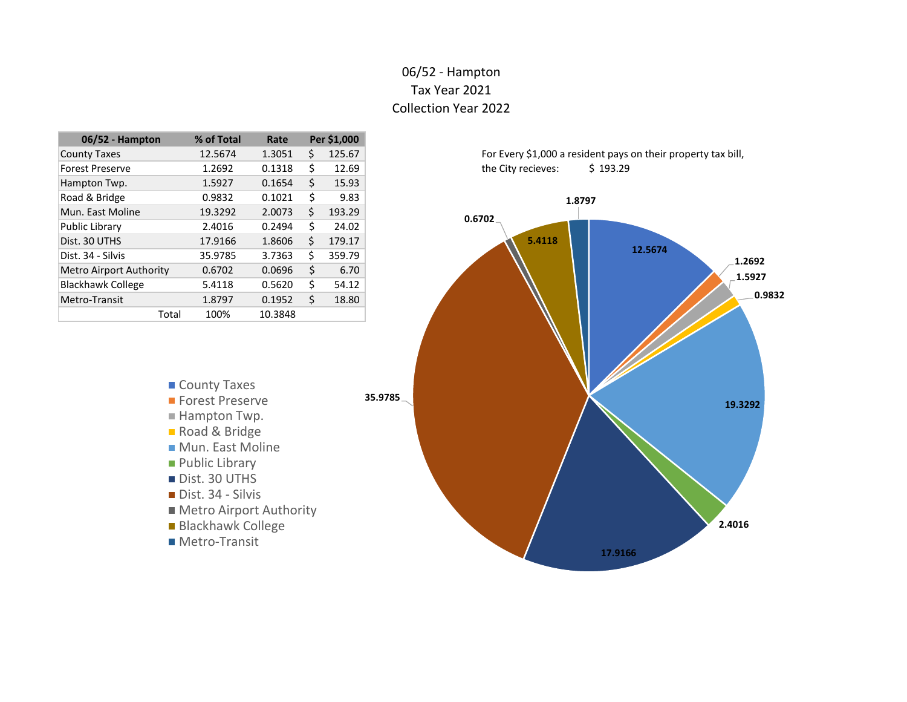#### 06/52 - Hampton Tax Year 2021 Collection Year 2022

| 06/52 - Hampton                | % of Total | Rate    |    | Per \$1,000 |
|--------------------------------|------------|---------|----|-------------|
| <b>County Taxes</b>            | 12.5674    | 1.3051  | \$ | 125.67      |
| <b>Forest Preserve</b>         | 1.2692     | 0.1318  | Ś  | 12.69       |
| Hampton Twp.                   | 1.5927     | 0.1654  | \$ | 15.93       |
| Road & Bridge                  | 0.9832     | 0.1021  | \$ | 9.83        |
| Mun. East Moline               | 19.3292    | 2.0073  | \$ | 193.29      |
| Public Library                 | 2.4016     | 0.2494  | \$ | 24.02       |
| Dist. 30 UTHS                  | 17.9166    | 1.8606  | \$ | 179.17      |
| Dist. 34 - Silvis              | 35.9785    | 3.7363  | \$ | 359.79      |
| <b>Metro Airport Authority</b> | 0.6702     | 0.0696  | \$ | 6.70        |
| <b>Blackhawk College</b>       | 5.4118     | 0.5620  | Ś  | 54.12       |
| Metro-Transit                  | 1.8797     | 0.1952  | \$ | 18.80       |
| Total                          | 100%       | 10.3848 |    |             |

- County Taxes
- **Forest Preserve**
- Hampton Twp.
- Road & Bridge
- **Mun. East Moline**
- **Public Library**
- Dist. 30 UTHS
- Dist. 34 Silvis
- Metro Airport Authority
- Blackhawk College
- **Metro-Transit**



For Every \$1,000 a resident pays on their property tax bill, the City recieves: \$ 193.29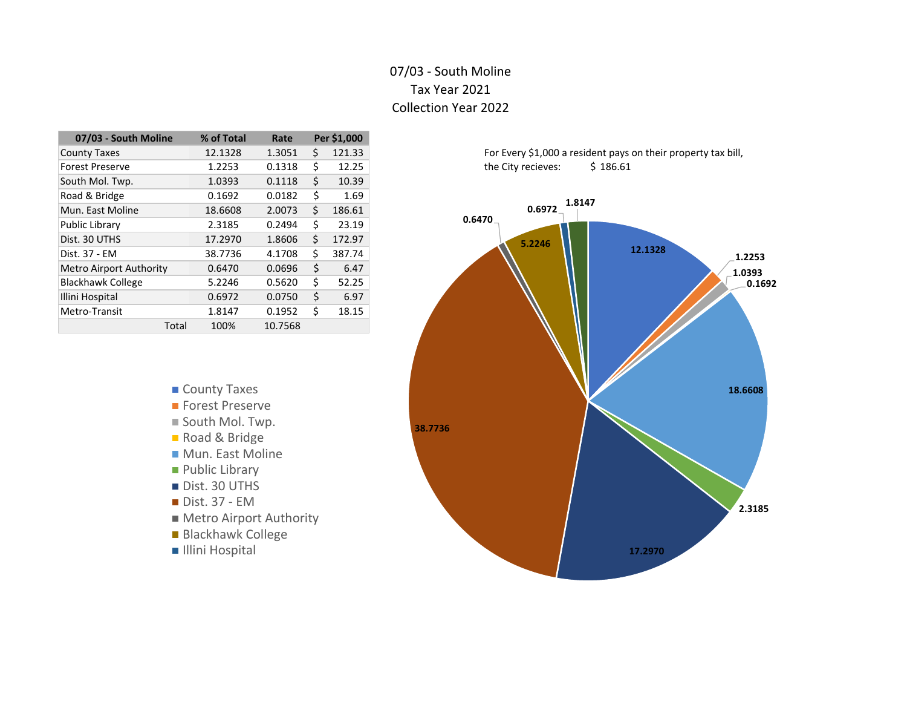# 07/03 - South Moline Tax Year 2021 Collection Year 2022

| 07/03 - South Moline           | % of Total | Rate    |    | Per \$1,000 |
|--------------------------------|------------|---------|----|-------------|
| <b>County Taxes</b>            | 12.1328    | 1.3051  | Ś. | 121.33      |
| <b>Forest Preserve</b>         | 1.2253     | 0.1318  | \$ | 12.25       |
| South Mol. Twp.                | 1.0393     | 0.1118  | \$ | 10.39       |
| Road & Bridge                  | 0.1692     | 0.0182  | \$ | 1.69        |
| Mun. East Moline               | 18.6608    | 2.0073  | \$ | 186.61      |
| Public Library                 | 2.3185     | 0.2494  | \$ | 23.19       |
| Dist. 30 UTHS                  | 17.2970    | 1.8606  | \$ | 172.97      |
| Dist. 37 - EM                  | 38.7736    | 4.1708  | \$ | 387.74      |
| <b>Metro Airport Authority</b> | 0.6470     | 0.0696  | \$ | 6.47        |
| <b>Blackhawk College</b>       | 5.2246     | 0.5620  | \$ | 52.25       |
| Illini Hospital                | 0.6972     | 0.0750  | \$ | 6.97        |
| Metro-Transit                  | 1.8147     | 0.1952  | \$ | 18.15       |
| Total                          | 100%       | 10.7568 |    |             |

- County Taxes **Forest Preserve** ■ South Mol. Twp. Road & Bridge
- **Mun. East Moline**
- **Public Library**
- Dist. 30 UTHS
- Dist. 37 EM
- Metro Airport Authority
- Blackhawk College
- **Illini Hospital**

For Every \$1,000 a resident pays on their property tax bill, the City recieves: \$ 186.61